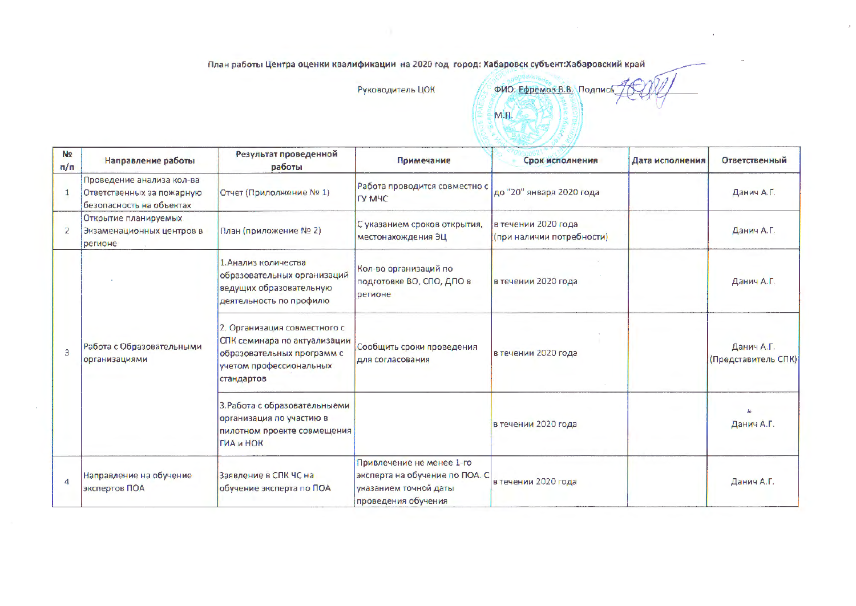План работы Центра оценки квалификации на 2020 год город: Хабаровск субъект:Хабаровский край

Руководитель ЦОК

ФИО: Ефремов В.В. Подпись M.fl.

 $\bar{p}$ 

| NΩ<br>n/n        | Направление работы                                                                 | Результат проведенной<br>работы                                                                                                     | Примечание                                                                                                  | Срок исполнения                                  | Дата исполнения | <b>Ответственный</b>              |
|------------------|------------------------------------------------------------------------------------|-------------------------------------------------------------------------------------------------------------------------------------|-------------------------------------------------------------------------------------------------------------|--------------------------------------------------|-----------------|-----------------------------------|
|                  | Проведение анализа кол-ва<br>Ответственных за пожарную<br>безопасность на объектах | Отчет (Прилолжение № 1)                                                                                                             | Работа проводится совместно с<br><b>DY MHC</b>                                                              | до "20" января 2020 года                         |                 | Данич А.Г.                        |
| 2                | Открытие планируемых<br>Экзаменационных центров в<br>регионе                       | План (приложение № 2)                                                                                                               | С указанием сроков открытия,<br>местонахождения ЭЦ                                                          | в течении 2020 года<br>(при наличии потребности) |                 | Данич А.Г.                        |
| $\overline{3}$   | Работа с Образовательными<br>организациями                                         | 1. Анализ количества<br>образовательных организаций<br>ведущих образовательную<br>деятельность по профилю                           | Кол-во организаций по<br>подготовке ВО, СПО, ДПО в<br>регионе                                               | в течении 2020 года                              |                 | Данич А.Г.                        |
|                  |                                                                                    | 2. Организация совместного с<br>СПК семинара по актуализации<br>образовательных программ с<br>учетом профессиональных<br>стандартов | Сообщить сроки проведения<br>для согласования                                                               | в течении 2020 года                              |                 | Данич А.Г.<br>(Представитель СПК) |
|                  |                                                                                    | 3. Работа с образовательныеми<br>организация по участию в<br>пилотном проекте совмещения<br>ГИА и НОК                               |                                                                                                             | в течении 2020 года                              |                 | Данич А.Г.                        |
| $\boldsymbol{A}$ | Направление на обучение<br>экспертов ПОА                                           | Заявление в СПК ЧС на<br>обучение эксперта по ПОА                                                                                   | Привлечение не менее 1-го<br>эксперта на обучение по ПОА. С<br>указанием точной даты<br>проведения обучения | в течении 2020 года                              |                 | Данич А.Г.                        |